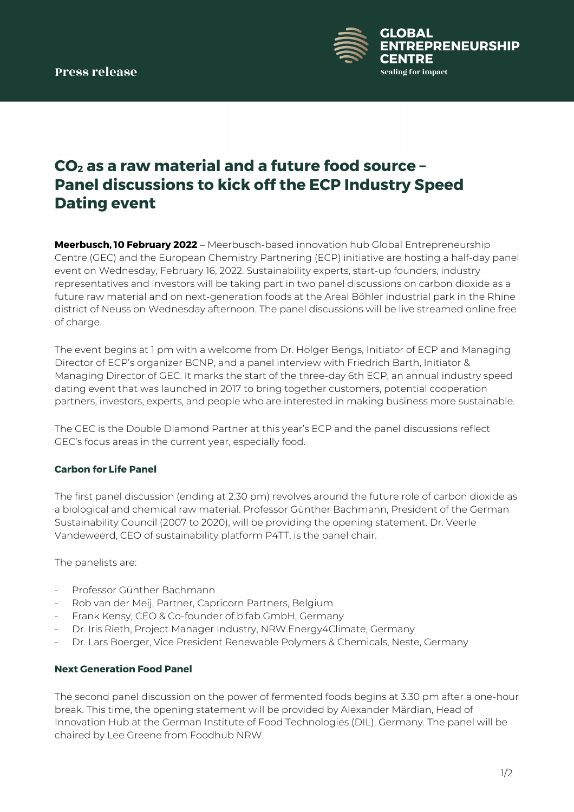

# **CO2 as a raw material and a future food source – Panel discussions to kick off the ECP Industry Speed Dating event**

**Meerbusch, 10 February 2022** – Meerbusch-based innovation hub Global Entrepreneurship Centre (GEC) and the European Chemistry Partnering (ECP) initiative are hosting a half-day panel event on Wednesday, February 16, 2022. Sustainability experts, start-up founders, industry representatives and investors will be taking part in two panel discussions on carbon dioxide as a future raw material and on next-generation foods at the Areal Böhler industrial park in the Rhine district of Neuss on Wednesday afternoon. The panel discussions will be live streamed online free of charge.

The event begins at 1 pm with a welcome from Dr. Holger Bengs, Initiator of ECP and Managing Director of ECP's organizer BCNP, and a panel interview with Friedrich Barth, Initiator & Managing Director of GEC. It marks the start of the three-day 6th ECP, an annual industry speed dating event that was launched in 2017 to bring together customers, potential cooperation partners, investors, experts, and people who are interested in making business more sustainable.

The GEC is the Double Diamond Partner at this year's ECP and the panel discussions reflect GEC's focus areas in the current year, especially food.

## **Carbon for Life Panel**

The first panel discussion (ending at 2.30 pm) revolves around the future role of carbon dioxide as a biological and chemical raw material. Professor Günther Bachmann, President of the German Sustainability Council (2007 to 2020), will be providing the opening statement. Dr. Veerle Vandeweerd, CEO of sustainability platform P4TT, is the panel chair.

The panelists are:

- Professor Günther Bachmann
- Rob van der Meij, Partner, Capricorn Partners, Belgium
- Frank Kensy, CEO & Co-founder of b.fab GmbH, Germany
- Dr. Iris Rieth, Project Manager Industry, NRW.Energy4Climate, Germany
- Dr. Lars Boerger, Vice President Renewable Polymers & Chemicals, Neste, Germany

### **Next Generation Food Panel**

The second panel discussion on the power of fermented foods begins at 3.30 pm after a one-hour break. This time, the opening statement will be provided by Alexander Märdian, Head of Innovation Hub at the German Institute of Food Technologies (DIL), Germany. The panel will be chaired by Lee Greene from Foodhub NRW.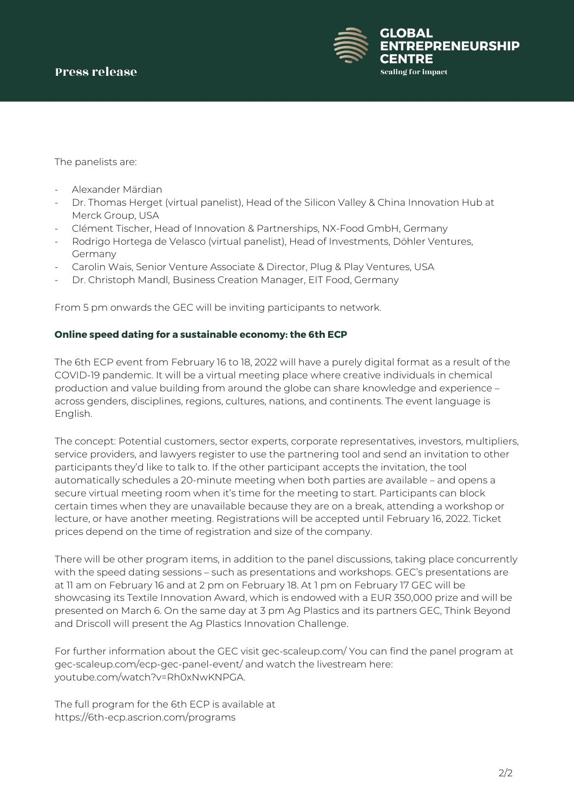

The panelists are:

- Alexander Märdian
- Dr. Thomas Herget (virtual panelist), Head of the Silicon Valley & China Innovation Hub at Merck Group, USA
- Clément Tischer, Head of Innovation & Partnerships, NX-Food GmbH, Germany
- Rodrigo Hortega de Velasco (virtual panelist), Head of Investments, Döhler Ventures, Germany
- Carolin Wais, Senior Venture Associate & Director, Plug & Play Ventures, USA
- Dr. Christoph Mandl, Business Creation Manager, EIT Food, Germany

From 5 pm onwards the GEC will be inviting participants to network.

### **Online speed dating for a sustainable economy: the 6th ECP**

The 6th ECP event from February 16 to 18, 2022 will have a purely digital format as a result of the COVID-19 pandemic. It will be a virtual meeting place where creative individuals in chemical production and value building from around the globe can share knowledge and experience – across genders, disciplines, regions, cultures, nations, and continents. The event language is English.

The concept: Potential customers, sector experts, corporate representatives, investors, multipliers, service providers, and lawyers register to use the partnering tool and send an invitation to other participants they'd like to talk to. If the other participant accepts the invitation, the tool automatically schedules a 20-minute meeting when both parties are available – and opens a secure virtual meeting room when it's time for the meeting to start. Participants can block certain times when they are unavailable because they are on a break, attending a workshop or lecture, or have another meeting. Registrations will be accepted until February 16, 2022. Ticket prices depend on the time of registration and size of the company.

There will be other program items, in addition to the panel discussions, taking place concurrently with the speed dating sessions – such as presentations and workshops. GEC's presentations are at 11 am on February 16 and at 2 pm on February 18. At 1 pm on February 17 GEC will be showcasing its Textile Innovation Award, which is endowed with a EUR 350,000 prize and will be presented on March 6. On the same day at 3 pm Ag Plastics and its partners GEC, Think Beyond and Driscoll will present the Ag Plastics Innovation Challenge.

For further information about the GEC visit gec-scaleup.com/ You can find the panel program at gec-scaleup.com/ecp-gec-panel-event/ and watch the livestream here: youtube.com/watch?v=Rh0xNwKNPGA.

The full program for the 6th ECP is available at https://6th-ecp.ascrion.com/programs